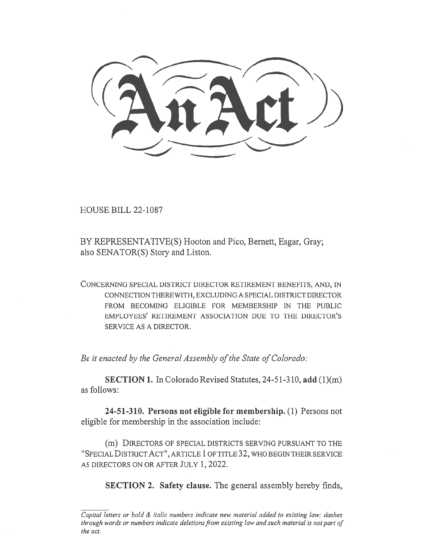CCelnk-cAt))

HOUSE BILL 22-1087

BY REPRESENTATIVE(S) Hooton and Pico, Bernett, Esgar, Gray; also SENATOR(S) Story and Liston.

CONCERNING SPECIAL DISTRICT DIRECTOR RETIREMENT BENEFITS, AND, IN CONNECTION THEREWITH, EXCLUDING A SPECIAL DISTRICT DIRECTOR FROM BECOMING ELIGIBLE FOR MEMBERSHIP IN THE PUBLIC EMPLOYEES' RETIREMENT ASSOCIATION DUE TO THE DIRECTOR'S SERVICE AS A DIRECTOR.

Be it enacted by the General Assembly of the State of Colorado:

SECTION 1. In Colorado Revised Statutes, 24-51-310, add (1)(m) as follows:

24-51-310. Persons not eligible for membership. (1) Persons not eligible for membership in the association include:

(m) DIRECTORS OF SPECIAL DISTRICTS SERVING PURSUANT TO THE "SPECIAL DISTRICT ACT", ARTICLE 1 OF TITLE 32, WHO BEGIN THEIR SERVICE AS DIRECTORS ON OR AFTER JULY 1, 2022.

SECTION 2. Safety clause. The general assembly hereby finds,

Capital letters or bold & italic numbers indicate new material added to existing law; dashes through words or numbers indicate deletions from existing law and such material is not part of the act.